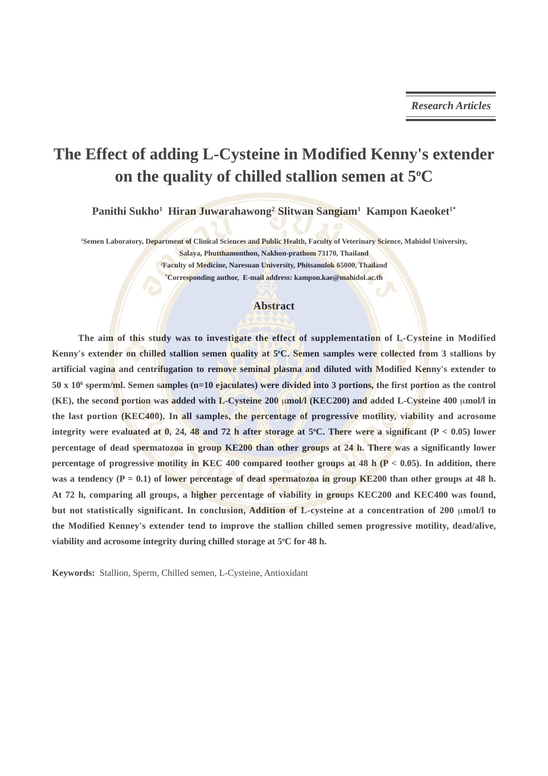## **The Effect of adding L-Cysteine in Modified Kenny's extender** on the quality of chilled stallion semen at 5°C

Panithi Sukho<sup>1</sup> Hiran Juwarahawong<sup>2</sup> Slitwan Sangiam<sup>1</sup> Kampon Kaeoket<sup>1\*</sup>

**1 Semen Laboratory, Department of Clinical Sciences and Public Health, Faculty of Veterinary Science, Mahidol University, Salaya, Phutthamonthon, Nakhon-prathom 73170, Thailand 2 Faculty of Medicine, Naresuan University, Phitsanulok 65000, Thailand**

**\* Corresponding author, E-mail address: kampon.kae@mahidol.ac.th**

#### **Abstract**

**The aim of this study was to investigate the effect of supplementation of L-Cysteine in Modified** Kenny's extender on chilled stallion semen quality at 5°C. Semen samples were collected from 3 stallions by **artificial vagina and centrifugation to remove seminal plasma and diluted with Modified Kenny's extender to 50 x 106 sperm/ml. Semen samples (n=10 ejaculates) were divided into 3 portions, the first portion as the control (KE), the second portion was added with L-Cysteine 200** μ**mol/l (KEC200) and added L-Cysteine 400** μ**mol/l in the last portion (KEC400). In all samples, the percentage of progressive motility, viability and acrosome integrity were evaluated at 0, 24, 48 and 72 h after storage at 5°C. There were a significant (P < 0.05) lower percentage of dead spermatozoa in group KE200 than other groups at 24 h. There was a significantly lower percentage of progressive motility in KEC 400 compared toother groups at 48 h (P < 0.05). In addition, there** was a tendency  $(P = 0.1)$  of lower percentage of dead spermatozoa in group KE200 than other groups at 48 h. **At 72 h, comparing all groups, a higher percentage of viability in groups KEC200 and KEC400 was found, but not statistically significant. In conclusion, Addition of L-cysteine at a concentration of 200** μ**mol/l to the Modified Kenney's extender tend to improve the stallion chilled semen progressive motility, dead/alive,** viability and acrosome integrity during chilled storage at 5°C for 48 h.

**Keywords:** Stallion, Sperm, Chilled semen, L-Cysteine, Antioxidant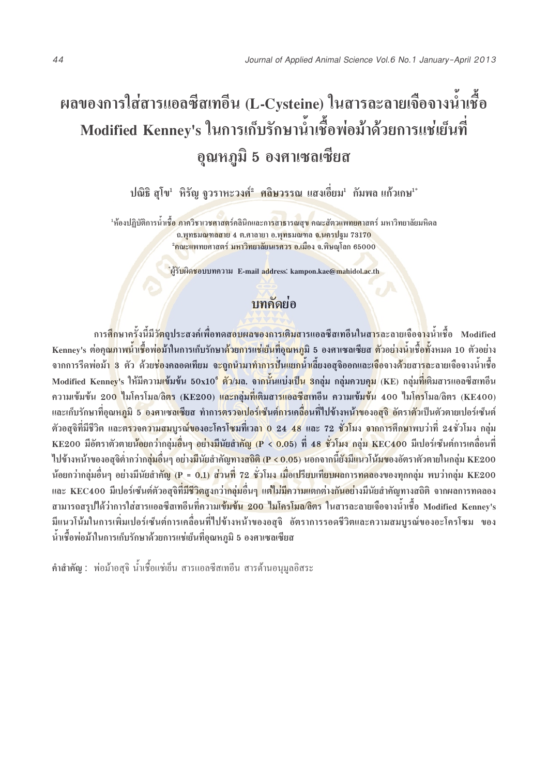# $\;$ ผลของการใส่สารแอลซีสเทอีน (L-Cysteine) ในสารละลายเจือจางน้ำเชื้อ Modified Kenney's ในการเก็บรักษาน้ำเชื้อพ่อม้าด้วยการแช่เย็นที่ ์ อุณหภูมิ 5 องศาเซลเซียส

ปณิธิ สุโข<sup>เ</sup> หิรัญ จูวราหะวงศ์<del>° ศลิษวรรณ</del> แสงเอี่ยม<sup>เ</sup> กัมพล แก้วเกษ<sup>า</sup>

<sup>1</sup>ห้องปฏิบัติการน้ำเ<mark>ชื้อ ภาควิชาเวชศาสต</mark>ร์คลินิกและก<mark>ารสาธารณสุข คณะสัตวแพทยศา</mark>สตร์ มหาวิทยาลัยมหิดล ึ่อ.พุทธมณฑลสาย 4 ต.ศาลายา อ.พุทธมณฑล <mark>จ.นครป</mark>ฐม 73170 <mark>°คณะแ</mark>พทยศาสตร์ <mark>มหาวิทยาลัยนเรศวร อ.เมื</mark>อง จ.พิษณุโลก 65000

**์ผู้รับผิดชอบ**บทความ E-mail a<mark>d</mark>dress: kampon.kae@mahidol.ac.th

### ำ**เทคัดย**่อ

การ<mark>สึก</mark>ษาครั้งนี้มีวั<mark>ตถุ</mark>ประสงค์เพื่อทดสอบผลของการเติมสารแอลซีสเทอีนในส<mark>าร</mark>ละลายเจือจ<mark>าง</mark>น้ำเชื้อ Modified **—È ◊Ë** Kenney's ต่อค<mark>ณ</mark>ภาพน้ำเชื้อพ่อม้าในการเก็บรักษาด้<mark>วยการแช่เย็นที่อณหภ</mark>มิ 5 องศาเซลเซียส <mark>ตั</mark>วอย่างน้ำเชื้อทั้งหมด 10 ตัวอย่าง จากการรีดพ่อม้<mark>ำ 3</mark> ตัว ด้วย<mark>ช่อ</mark>งคลอดเทียม จ<mark>ะถูกนำมาทำการปันแยกนำเลี</mark>่ยงอสุจิออกและเ<mark>จือ</mark>จางด้วยสา<mark>รล</mark>ะลายเจือจางน้ำเชื้อ Modified Kenn<mark>ey</mark>'s ให้มีความ<mark>เข้มข้น 50x10° ตัว/มล. จากนั้นแบ่งเป็น 3</mark>กลุ่ม กลุ่มควบคุม (KE) กลุ่ม<mark>ที่เ</mark>ติมสารแอลซีสเทอีน ความเข้มข้น 200 ใมโครโมล/ลิ<mark>ตร (KE200) และกลุ่มที่เติมสารแอลซีสเท</mark>อีน ความเข้<mark>มข้</mark>น 400 ใมโ<mark>คร</mark>โมล/ลิตร (KE400) **'Ë ุและเก็บรักษาที่อุณหภูมิ 5 องศาเซลเซียส** ทำการ<mark>ตรวจเปอร์เซ็นต์กา</mark>รเคลื่อนที่ไปข้างหน้าของอสุจิ อัตราตัวเป็นตัวตายเปอร์เซ็นต์ ตัวอสุจิที่มีชีวิต และต<mark>รวจความสมบูรณ์ของอะโครโซมที่เวลา 0 24 48</mark> และ 72 <mark>ชั่วโ</mark>มง จากการศึก<mark>ษ</mark>าพบว่าที่ 24ชั่วโมง กลุ่ม **KE200 มีอัตราตัวตายน้อยกว่ากลุ่มอื่นๆ อย่<mark>างมีนัยสำคัญ (P < 0.05</mark>) ที่ 48 ชั่วโมง กลุ่ม KEC400 มีเปอร์เซ็นต์การเคลื่อนที** ้ ไปข้างหน้าของอสุจิต่ำกว่าก<mark>ลุ่มอื่นๆ อย่างมีนัยสำคัญทางสถิติ (P < 0.05) นอกจากนี้ยังมีแนวโน้มของอัตราตัวตายในกลุ่ม KE200</mark> น้อยกว่ากลุ่มอื่นๆ อย่างมีนัยสำคั<mark>ญ (P = 0.1) ส่วนที่ 72 ชั่วโมง เมื่อเปรียบเทียบผลการทดลองของทุกกลุ่ม พบว่ากลุ่ม KE200</mark> ·และ KEC400 มีเปอร์เซ็นต์ตัวอสจิที่ม**ีชีวิตสงกว่ากล่มอื่นๆ แต่ไม่มี**คว**ามแตกต่างกันอย่างมีนัยสำคัญทางสถิติ จากผลการทดลอง** สามารถสรุปใด้ว่าการใส่สารแอลซีสเทอีนที่ควา<mark>มเข้มข้น 200 ใมโครโมล/ลิตร ใ</mark>นสารละลายเจือจางน้ำเชื้อ Modified Kenney's **'Ë** มีแนวโน้มในการเพิ่มเปอร์เซ็นต์การเคลื่อนที่ไปข้างหน้าของอสุจิ อัตราการรอดชีวิตและความสมบูรณ์ของอะโครโซม ของ **◊Ë** ์ น้ำเชื้อพ่อม้าในการเก็บรักษาด้วยการแช่เย็นที่อุณหภูมิ 5 องศาเซลเซียส

**ฺ คำสำคัญ : พ่อม้าอสุจิ น้ำเชื้อแช่เย็น สารแอลซีสเทอีน สารต้านอนุมูลอิสระ**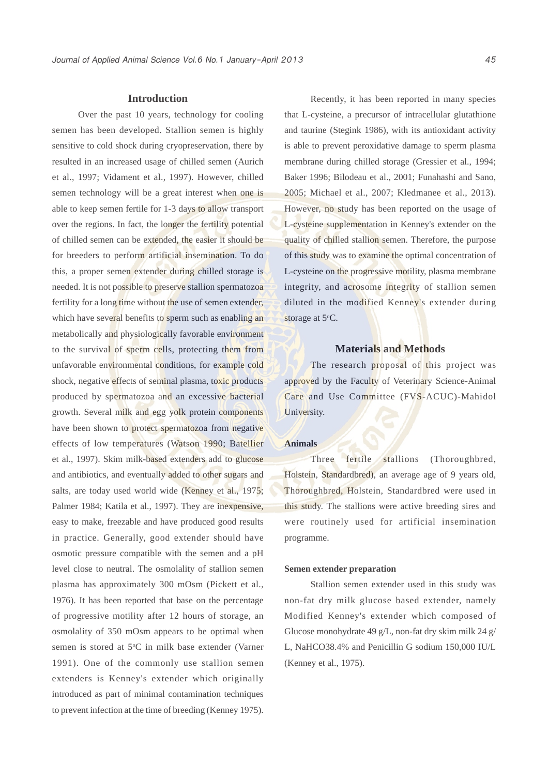#### **Introduction**

Over the past 10 years, technology for cooling semen has been developed. Stallion semen is highly sensitive to cold shock during cryopreservation, there by resulted in an increased usage of chilled semen (Aurich et al., 1997; Vidament et al., 1997). However, chilled semen technology will be a great interest when one is able to keep semen fertile for 1-3 days to allow transport over the regions. In fact, the longer the fertility potential of chilled semen can be extended, the easier it should be for breeders to perform artificial insemination. To do this, a proper semen extender during chilled storage is needed. It is not possible to preserve stallion spermatozoa fertility for a long time without the use of semen extender, which have several benefits to sperm such as enabling an metabolically and physiologically favorable environment to the survival of sperm cells, protecting them from unfavorable environmental conditions, for example cold shock, negative effects of seminal plasma, toxic products produced by spermatozoa and an excessive bacterial growth. Several milk and egg yolk protein components have been shown to protect spermatozoa from negative effects of low temperatures (Watson 1990; Batellier et al., 1997). Skim milk-based extenders add to glucose and antibiotics, and eventually added to other sugars and salts, are today used world wide (Kenney et al., 1975; Palmer 1984; Katila et al., 1997). They are inexpensive, easy to make, freezable and have produced good results in practice. Generally, good extender should have osmotic pressure compatible with the semen and a pH level close to neutral. The osmolality of stallion semen plasma has approximately 300 mOsm (Pickett et al., 1976). It has been reported that base on the percentage of progressive motility after 12 hours of storage, an osmolality of 350 mOsm appears to be optimal when semen is stored at 5°C in milk base extender (Varner 1991). One of the commonly use stallion semen extenders is Kenney's extender which originally introduced as part of minimal contamination techniques to prevent infection at the time of breeding (Kenney 1975).

Recently, it has been reported in many species that L-cysteine, a precursor of intracellular glutathione and taurine (Stegink 1986), with its antioxidant activity is able to prevent peroxidative damage to sperm plasma membrane during chilled storage (Gressier et al., 1994; Baker 1996; Bilodeau et al., 2001; Funahashi and Sano, 2005; Michael et al., 2007; Kledmanee et al., 2013). However, no study has been reported on the usage of L-cysteine supplementation in Kenney's extender on the quality of chilled stallion semen. Therefore, the purpose of this study was to examine the optimal concentration of L-cysteine on the progressive motility, plasma membrane integrity, and acrosome integrity of stallion semen diluted in the modified Kenney's extender during storage at 5°C.

#### **Materials and Methods**

The research proposal of this project was approved by the Faculty of Veterinary Science-Animal Care and Use Committee (FVS-ACUC)-Mahidol University.

#### **Animals**

Three fertile stallions (Thoroughbred, Holstein, Standardbred), an average age of 9 years old, Thoroughbred, Holstein, Standardbred were used in this study. The stallions were active breeding sires and were routinely used for artificial insemination programme.

#### **Semen extender preparation**

Stallion semen extender used in this study was non-fat dry milk glucose based extender, namely Modified Kenney's extender which composed of Glucose monohydrate 49 g/L, non-fat dry skim milk 24 g/ L, NaHCO38.4% and Penicillin G sodium 150,000 IU/L (Kenney et al., 1975).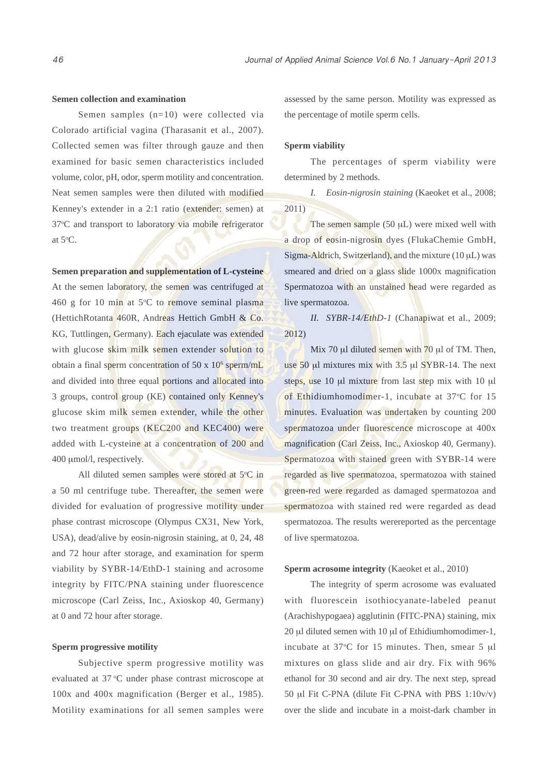#### **Semen collection and examination**

Semen samples (n=10) were collected via Colorado artificial vagina (Tharasanit et al., 2007). Collected semen was filter through gauze and then examined for basic semen characteristics included volume, color, pH, odor, sperm motility and concentration. Neat semen samples were then diluted with modified Kenney's extender in a 2:1 ratio (extender: semen) at 37°C and transport to laboratory via mobile refrigerator at  $5^{\circ}$ C.

#### **Semen preparation and supplementation of L-cysteine**

At the semen laboratory, the semen was centrifuged at 460 g for 10 min at 5°C to remove seminal plasma (HettichRotanta 460R, Andreas Hettich GmbH & Co. KG, Tuttlingen, Germany). Each ejaculate was extended with glucose skim milk semen extender solution to obtain a final sperm concentration of 50 x 10<sup>6</sup> sperm/mL and divided into three equal portions and allocated into 3 groups, control group (KE) contained only Kenney's glucose skim milk semen extender, while the other two treatment groups (KEC200 and KEC400) were added with L-cysteine at a concentration of 200 and 400 μmol/l, respectively.

All diluted semen samples were stored at 5°C in a 50 ml centrifuge tube. Thereafter, the semen were divided for evaluation of progressive motility under phase contrast microscope (Olympus CX31, New York, USA), dead/alive by eosin-nigrosin staining, at 0, 24, 48 and 72 hour after storage, and examination for sperm viability by SYBR-14/EthD-1 staining and acrosome integrity by FITC/PNA staining under fluorescence microscope (Carl Zeiss, Inc., Axioskop 40, Germany) at 0 and 72 hour after storage.

#### **Sperm progressive motility**

Subjective sperm progressive motility was evaluated at 37 °C under phase contrast microscope at 100x and 400x magnification (Berger et al., 1985). Motility examinations for all semen samples were assessed by the same person. Motility was expressed as the percentage of motile sperm cells.

#### **Sperm viability**

The percentages of sperm viability were determined by 2 methods.

*I. Eosin-nigrosin staining* (Kaeoket et al., 2008; 2011)

The semen sample (50 μL) were mixed well with a drop of eosin-nigrosin dyes (FlukaChemie GmbH, Sigma-Aldrich, Switzerland), and the mixture (10 μL) was smeared and dried on a glass slide 1000x magnification Spermatozoa with an unstained head were regarded as live spermatozoa.

*II. SYBR-14/EthD-1* (Chanapiwat et al., 2009; 2012)

Mix 70 μl diluted semen with 70 μl of TM. Then, use 50 μl mixtures mix with 3.5 μl SYBR-14. The next steps, use 10 μl mixture from last step mix with 10 μl of Ethidiumhomodimer-1, incubate at 37°C for 15 minutes. Evaluation was undertaken by counting 200 spermatozoa under fluorescence microscope at 400x magnification (Carl Zeiss, Inc., Axioskop 40, Germany). Spermatozoa with stained green with SYBR-14 were regarded as live spermatozoa, spermatozoa with stained green-red were regarded as damaged spermatozoa and spermatozoa with stained red were regarded as dead spermatozoa. The results werereported as the percentage of live spermatozoa.

#### **Sperm acrosome integrity** (Kaeoket et al., 2010)

The integrity of sperm acrosome was evaluated with fluorescein isothiocyanate-labeled peanut (Arachishypogaea) agglutinin (FITC-PNA) staining, mix 20 μl diluted semen with 10 μl of Ethidiumhomodimer-1, incubate at  $37^{\circ}$ C for 15 minutes. Then, smear 5  $\mu$ l mixtures on glass slide and air dry. Fix with 96% ethanol for 30 second and air dry. The next step, spread 50 μl Fit C-PNA (dilute Fit C-PNA with PBS 1:10v/v) over the slide and incubate in a moist-dark chamber in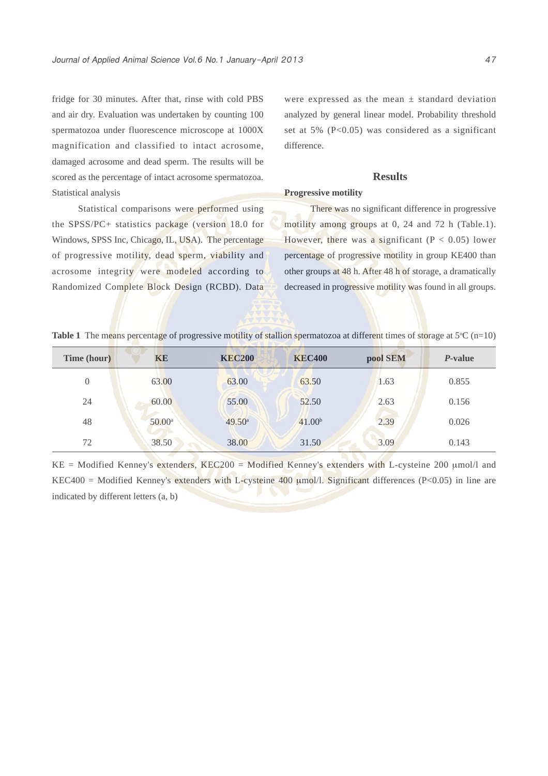fridge for 30 minutes. After that, rinse with cold PBS and air dry. Evaluation was undertaken by counting 100 spermatozoa under fluorescence microscope at 1000X magnification and classified to intact acrosome, damaged acrosome and dead sperm. The results will be scored as the percentage of intact acrosome spermatozoa. Statistical analysis

Statistical comparisons were performed using the SPSS/PC+ statistics package (version 18.0 for Windows, SPSS Inc, Chicago, IL, USA). The percentage of progressive motility, dead sperm, viability and acrosome integrity were modeled according to Randomized Complete Block Design (RCBD). Data

were expressed as the mean  $\pm$  standard deviation analyzed by general linear model. Probability threshold set at 5% (P<0.05) was considered as a significant difference.

#### **Results**

#### **Progressive motility**

There was no significant difference in progressive motility among groups at 0, 24 and 72 h (Table.1). However, there was a significant ( $P < 0.05$ ) lower percentage of progressive motility in group KE400 than other groups at 48 h. After 48 h of storage, a dramatically decreased in progressive motility was found in all groups.

|  | Table 1 The means percentage of progressive motility of stallion spermatozoa at different times of storage at $5^{\circ}$ C (n=10) |  |  |  |
|--|------------------------------------------------------------------------------------------------------------------------------------|--|--|--|
|  |                                                                                                                                    |  |  |  |

| Time (hour) | KE              | <b>KEC200</b>      | <b>KEC400</b>      | pool SEM | <i>P</i> -value |
|-------------|-----------------|--------------------|--------------------|----------|-----------------|
| $\theta$    | 63.00           | 63.00              | 63.50              | 1.63     | 0.855           |
| 24          | 60.00           | 55.00              | 52.50              | 2.63     | 0.156           |
| 48          | $50.00^{\rm a}$ | 49.50 <sup>a</sup> | 41.00 <sup>b</sup> | 2.39     | 0.026           |
| 72          | 38.50           | 38.00              | 31.50              | 3.09     | 0.143           |

KE = Modified Kenney's extenders, KEC200 = Modified Kenney's extenders with L-cysteine 200 μmol/l and KEC400 = Modified Kenney's extenders with L-cysteine 400  $\mu$ mol/l. Significant differences (P<0.05) in line are indicated by different letters (a, b)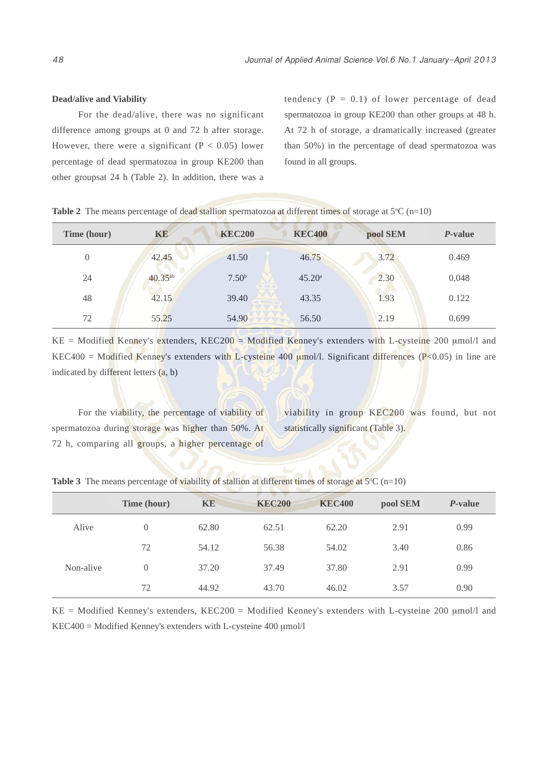#### **Dead/alive and Viability**

For the dead/alive, there was no significant difference among groups at 0 and 72 h after storage. However, there were a significant ( $P < 0.05$ ) lower percentage of dead spermatozoa in group KE200 than other groupsat 24 h (Table 2). In addition, there was a tendency  $(P = 0.1)$  of lower percentage of dead spermatozoa in group KE200 than other groups at 48 h. At 72 h of storage, a dramatically increased (greater than 50%) in the percentage of dead spermatozoa was found in all groups.

| Time (hour) | KE           | <b>KEC200</b>     | <b>KEC400</b>   | pool SEM | P-value |
|-------------|--------------|-------------------|-----------------|----------|---------|
| $\theta$    | 42.45        | 41.50             | 46.75           | 3.72     | 0.469   |
| 24          | $40.35^{ab}$ | 7.50 <sup>b</sup> | $45.20^{\circ}$ | 2.30     | 0.048   |
| 48          | 42.15        | 39.40             | 43.35           | 1.93     | 0.122   |
| 72          | 55.25        | 54.90             | 56.50           | 2.19     | 0.699   |

**Table 2** The means percentage of dead stallion spermatozoa at different times of storage at  $5^{\circ}C$  (n=10)

 $KE =$  Modified Kenney's extenders, KEC200 = Modified Kenney's extenders with L-cysteine 200 µmol/l and KEC400 = Modified Kenney's extenders with L-cysteine 400  $\mu$ mol/l. Significant differences (P<0.05) in line are indicated by different letters (a, b)

For the viability, the percentage of viability of spermatozoa during storage was higher than 50%. At 72 h, comparing all groups, a higher percentage of

viability in group KEC200 was found, but not statistically significant (Table 3).

|           | Time (hour) | <b>KE</b> | <b>KEC200</b> | <b>KEC400</b> | pool SEM | <i>P</i> -value |  |
|-----------|-------------|-----------|---------------|---------------|----------|-----------------|--|
| Alive     | $\Omega$    | 62.80     | 62.51         | 62.20         | 2.91     | 0.99            |  |
|           | 72          | 54.12     | 56.38         | 54.02         | 3.40     | 0.86            |  |
| Non-alive | $\Omega$    | 37.20     | 37.49         | 37.80         | 2.91     | 0.99            |  |
|           | 72          | 44.92     | 43.70         | 46.02         | 3.57     | 0.90            |  |

**Table 3** The means percentage of viability of stallion at different times of storage at  $5^{\circ}C$  (n=10)

KE = Modified Kenney's extenders, KEC200 = Modified Kenney's extenders with L-cysteine 200 μmol/l and KEC400 = Modified Kenney's extenders with L-cysteine 400 μmol/l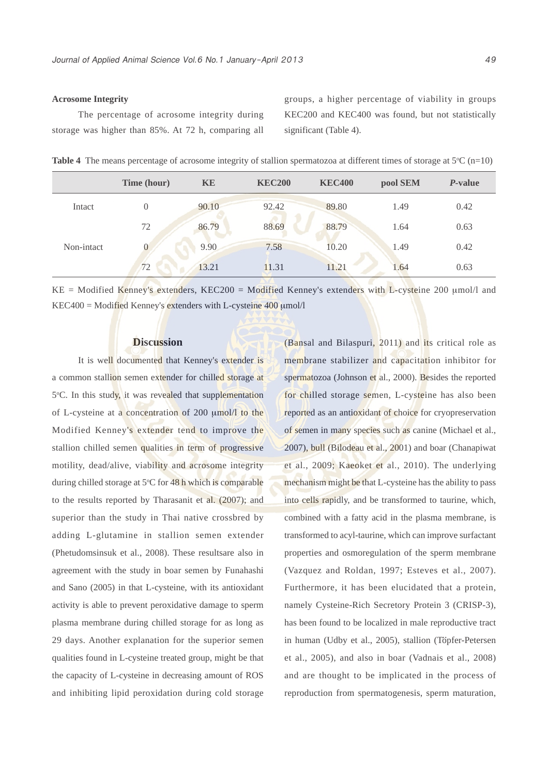#### **Acrosome Integrity**

The percentage of acrosome integrity during storage was higher than 85%. At 72 h, comparing all groups, a higher percentage of viability in groups KEC200 and KEC400 was found, but not statistically significant (Table 4).

|  |  |  |  |  |  | Table 4 The means percentage of acrosome integrity of stallion spermatozoa at different times of storage at $5^{\circ}C$ (n=10) |  |  |  |  |  |
|--|--|--|--|--|--|---------------------------------------------------------------------------------------------------------------------------------|--|--|--|--|--|
|--|--|--|--|--|--|---------------------------------------------------------------------------------------------------------------------------------|--|--|--|--|--|

|            | Time (hour) | <b>KE</b> | <b>KEC200</b> | <b>KEC400</b> | pool SEM | <i>P</i> -value |
|------------|-------------|-----------|---------------|---------------|----------|-----------------|
| Intact     | 0           | 90.10     | 92.42         | 89.80         | 1.49     | 0.42            |
|            | 72          | 86.79     | 88.69         | 88.79         | 1.64     | 0.63            |
| Non-intact | 0           | 9.90      | 7.58          | 10.20         | 1.49     | 0.42            |
|            | 72          | 13.21     | 11.31         | 11.21         | 1.64     | 0.63            |

KE = Modified Kenney's extenders, KEC200 = Modified Kenney's extenders with L-cysteine 200 μmol/l and  $KEC400 =$  Modified Kenney's extenders with L-cysteine  $400 \mu$ mol/l

#### **Discussion**

It is well documented that Kenney's extender is a common stallion semen extender for chilled storage at 5°C. In this study, it was revealed that supplementation of L-cysteine at a concentration of 200 μmol/l to the Modified Kenney's extender tend to improve the stallion chilled semen qualities in term of progressive motility, dead/alive, viability and acrosome integrity during chilled storage at 5°C for 48 h which is comparable to the results reported by Tharasanit et al. (2007); and superior than the study in Thai native crossbred by adding L-glutamine in stallion semen extender (Phetudomsinsuk et al., 2008). These resultsare also in agreement with the study in boar semen by Funahashi and Sano (2005) in that L-cysteine, with its antioxidant activity is able to prevent peroxidative damage to sperm plasma membrane during chilled storage for as long as 29 days. Another explanation for the superior semen qualities found in L-cysteine treated group, might be that the capacity of L-cysteine in decreasing amount of ROS and inhibiting lipid peroxidation during cold storage (Bansal and Bilaspuri, 2011) and its critical role as membrane stabilizer and capacitation inhibitor for spermatozoa (Johnson et al., 2000). Besides the reported for chilled storage semen, L-cysteine has also been reported as an antioxidant of choice for cryopreservation of semen in many species such as canine (Michael et al., 2007), bull (Bilodeau et al., 2001) and boar (Chanapiwat et al., 2009; Kaeoket et al., 2010). The underlying mechanism might be that L-cysteine has the ability to pass into cells rapidly, and be transformed to taurine, which, combined with a fatty acid in the plasma membrane, is transformed to acyl-taurine, which can improve surfactant properties and osmoregulation of the sperm membrane (Vazquez and Roldan, 1997; Esteves et al., 2007). Furthermore, it has been elucidated that a protein, namely Cysteine-Rich Secretory Protein 3 (CRISP-3), has been found to be localized in male reproductive tract in human (Udby et al., 2005), stallion (Töpfer-Petersen et al., 2005), and also in boar (Vadnais et al., 2008) and are thought to be implicated in the process of reproduction from spermatogenesis, sperm maturation,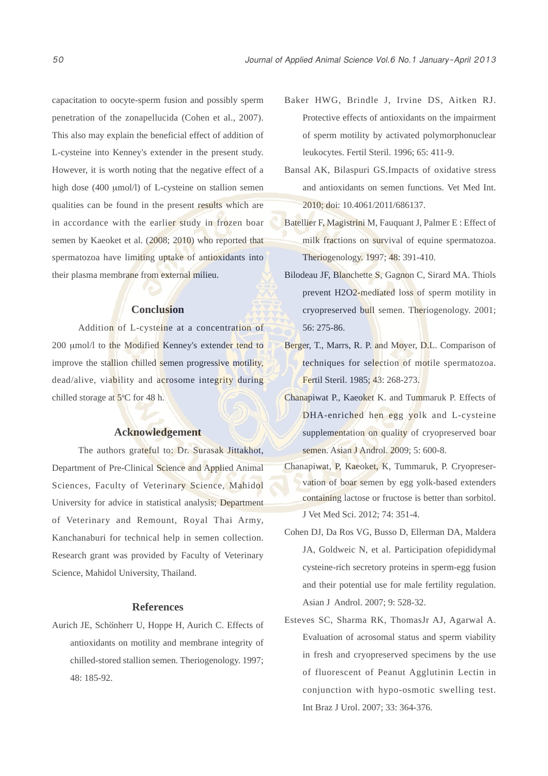capacitation to oocyte-sperm fusion and possibly sperm penetration of the zonapellucida (Cohen et al., 2007). This also may explain the beneficial effect of addition of L-cysteine into Kenney's extender in the present study. However, it is worth noting that the negative effect of a high dose (400 μmol/l) of L-cysteine on stallion semen qualities can be found in the present results which are in accordance with the earlier study in frozen boar semen by Kaeoket et al. (2008; 2010) who reported that spermatozoa have limiting uptake of antioxidants into their plasma membrane from external milieu.

#### **Conclusion**

Addition of L-cysteine at a concentration of 200 μmol/l to the Modified Kenney's extender tend to improve the stallion chilled semen progressive motility, dead/alive, viability and acrosome integrity during chilled storage at  $5^{\circ}$ C for 48 h.

#### **Acknowledgement**

The authors grateful to: Dr. Surasak Jittakhot, Department of Pre-Clinical Science and Applied Animal Sciences, Faculty of Veterinary Science, Mahidol University for advice in statistical analysis; Department of Veterinary and Remount, Royal Thai Army, Kanchanaburi for technical help in semen collection. Research grant was provided by Faculty of Veterinary Science, Mahidol University, Thailand.

#### **References**

Aurich JE, Schönherr U, Hoppe H, Aurich C. Effects of antioxidants on motility and membrane integrity of chilled-stored stallion semen. Theriogenology. 1997; 48: 185-92.

- Baker HWG, Brindle J, Irvine DS, Aitken RJ. Protective effects of antioxidants on the impairment of sperm motility by activated polymorphonuclear leukocytes. Fertil Steril. 1996; 65: 411-9.
- Bansal AK, Bilaspuri GS.Impacts of oxidative stress and antioxidants on semen functions. Vet Med Int. 2010; doi: 10.4061/2011/686137.
- Batellier F, Magistrini M, Fauquant J, Palmer E : Effect of milk fractions on survival of equine spermatozoa. Theriogenology. 1997; 48: 391-410.
- Bilodeau JF, Blanchette S, Gagnon C, Sirard MA. Thiols prevent H2O2-mediated loss of sperm motility in cryopreserved bull semen. Theriogenology. 2001; 56: 275-86.
- Berger, T., Marrs, R. P. and Moyer, D.L. Comparison of techniques for selection of motile spermatozoa. Fertil Steril. 1985; 43: 268-273.
- Chanapiwat P., Kaeoket K. and Tummaruk P. Effects of DHA-enriched hen egg yolk and L-cysteine supplementation on quality of cryopreserved boar semen. Asian J Androl. 2009; 5: 600-8.
- Chanapiwat, P, Kaeoket, K, Tummaruk, P. Cryopreservation of boar semen by egg yolk-based extenders containing lactose or fructose is better than sorbitol. J Vet Med Sci. 2012; 74: 351-4.
- Cohen DJ, Da Ros VG, Busso D, Ellerman DA, Maldera JA, Goldweic N, et al. Participation ofepididymal cysteine-rich secretory proteins in sperm-egg fusion and their potential use for male fertility regulation. Asian J Androl. 2007; 9: 528-32.
- Esteves SC, Sharma RK, ThomasJr AJ, Agarwal A. Evaluation of acrosomal status and sperm viability in fresh and cryopreserved specimens by the use of fluorescent of Peanut Agglutinin Lectin in conjunction with hypo-osmotic swelling test. Int Braz J Urol. 2007; 33: 364-376.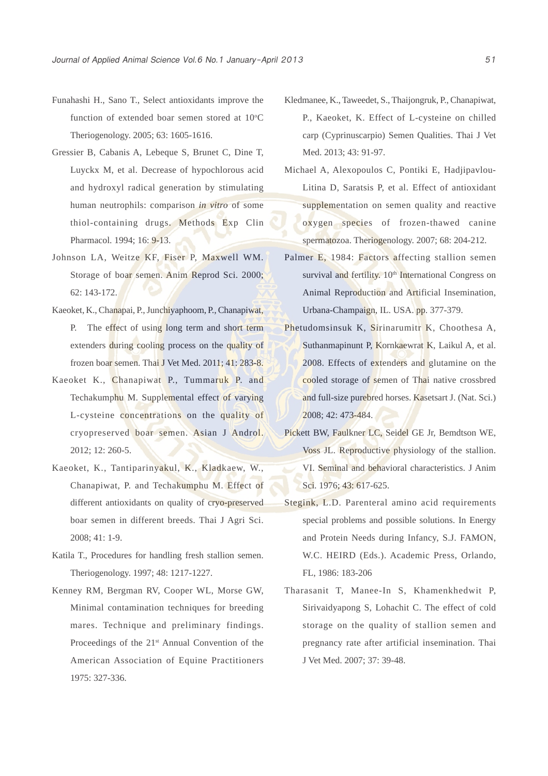- Funahashi H., Sano T., Select antioxidants improve the function of extended boar semen stored at  $10^{\circ}$ C Theriogenology. 2005; 63: 1605-1616.
- Gressier B, Cabanis A, Lebeque S, Brunet C, Dine T, Luyckx M, et al. Decrease of hypochlorous acid and hydroxyl radical generation by stimulating human neutrophils: comparison *in vitro* of some thiol-containing drugs. Methods Exp Clin Pharmacol. 1994; 16: 9-13.
- Johnson LA, Weitze KF, Fiser P, Maxwell WM. Storage of boar semen. Anim Reprod Sci. 2000; 62: 143-172.
- Kaeoket, K., Chanapai, P., Junchiyaphoom, P., Chanapiwat, P. The effect of using long term and short term extenders during cooling process on the quality of frozen boar semen. Thai J Vet Med. 2011; 41: 283-8.
- Kaeoket K., Chanapiwat P., Tummaruk P. and Techakumphu M. Supplemental effect of varying L-cysteine concentrations on the quality of cryopreserved boar semen. Asian J Androl. 2012; 12: 260-5.
- Kaeoket, K., Tantiparinyakul, K., Kladkaew, W., Chanapiwat, P. and Techakumphu M. Effect of different antioxidants on quality of cryo-preserved boar semen in different breeds. Thai J Agri Sci. 2008; 41: 1-9.
- Katila T., Procedures for handling fresh stallion semen. Theriogenology. 1997; 48: 1217-1227.
- Kenney RM, Bergman RV, Cooper WL, Morse GW, Minimal contamination techniques for breeding mares. Technique and preliminary findings. Proceedings of the 21<sup>st</sup> Annual Convention of the American Association of Equine Practitioners 1975: 327-336.
- Kledmanee, K., Taweedet, S., Thaijongruk, P., Chanapiwat, P., Kaeoket, K. Effect of L-cysteine on chilled carp (Cyprinuscarpio) Semen Qualities. Thai J Vet Med. 2013; 43: 91-97.
- Michael A, Alexopoulos C, Pontiki E, Hadjipavlou-Litina D, Saratsis P, et al. Effect of antioxidant supplementation on semen quality and reactive oxygen species of frozen-thawed canine spermatozoa. Theriogenology. 2007; 68: 204-212.
- Palmer E, 1984: Factors affecting stallion semen survival and fertility. 10<sup>th</sup> International Congress on Animal Reproduction and Artificial Insemination, Urbana-Champaign, IL. USA. pp. 377-379.
- Phetudomsinsuk K, Sirinarumitr K, Choothesa A, Suthanmapinunt P, Kornkaewrat K, Laikul A, et al. 2008. Effects of extenders and glutamine on the cooled storage of semen of Thai native crossbred and full-size purebred horses. Kasetsart J. (Nat. Sci.) 2008; 42: 473-484.
- Pickett BW, Faulkner LC, Seidel GE Jr, Bemdtson WE, Voss JL. Reproductive physiology of the stallion. VI. Seminal and behavioral characteristics. J Anim Sci. 1976; 43: 617-625.
- Stegink, L.D. Parenteral amino acid requirements special problems and possible solutions. In Energy and Protein Needs during Infancy, S.J. FAMON, W.C. HEIRD (Eds.). Academic Press, Orlando, FL, 1986: 183-206
- Tharasanit T, Manee-In S, Khamenkhedwit P, Sirivaidyapong S, Lohachit C. The effect of cold storage on the quality of stallion semen and pregnancy rate after artificial insemination. Thai J Vet Med. 2007; 37: 39-48.